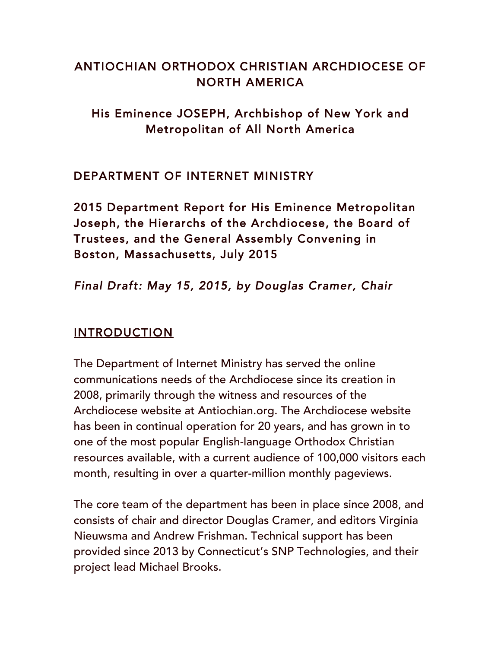# ANTIOCHIAN ORTHODOX CHRISTIAN ARCHDIOCESE OF NORTH AMERICA

## His Eminence JOSEPH, Archbishop of New York and Metropolitan of All North America

### DEPARTMENT OF INTERNET MINISTRY

2015 Department Report for His Eminence Metropolitan Joseph, the Hierarchs of the Archdiocese, the Board of Trustees, and the General Assembly Convening in Boston, Massachusetts, July 2015

## *Final Draft: May 15, 2015, by Douglas Cramer, Chair*

### INTRODUCTION

The Department of Internet Ministry has served the online communications needs of the Archdiocese since its creation in 2008, primarily through the witness and resources of the Archdiocese website at Antiochian.org. The Archdiocese website has been in continual operation for 20 years, and has grown in to one of the most popular English-language Orthodox Christian resources available, with a current audience of 100,000 visitors each month, resulting in over a quarter-million monthly pageviews.

The core team of the department has been in place since 2008, and consists of chair and director Douglas Cramer, and editors Virginia Nieuwsma and Andrew Frishman. Technical support has been provided since 2013 by Connecticut's SNP Technologies, and their project lead Michael Brooks.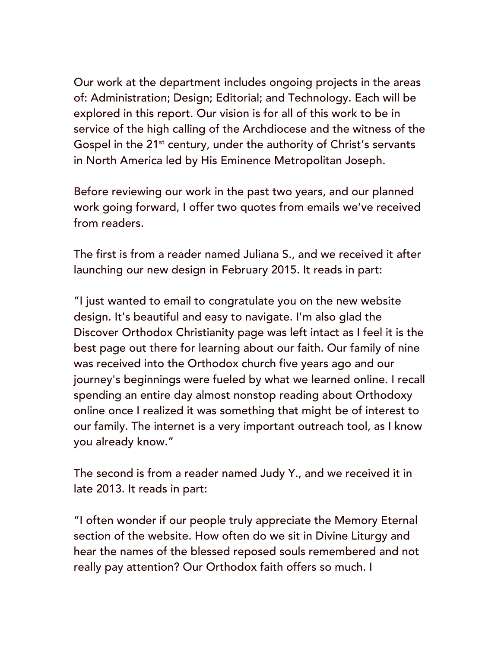Our work at the department includes ongoing projects in the areas of: Administration; Design; Editorial; and Technology. Each will be explored in this report. Our vision is for all of this work to be in service of the high calling of the Archdiocese and the witness of the Gospel in the  $21<sup>st</sup>$  century, under the authority of Christ's servants in North America led by His Eminence Metropolitan Joseph.

Before reviewing our work in the past two years, and our planned work going forward, I offer two quotes from emails we've received from readers.

The first is from a reader named Juliana S., and we received it after launching our new design in February 2015. It reads in part:

"I just wanted to email to congratulate you on the new website design. It's beautiful and easy to navigate. I'm also glad the Discover Orthodox Christianity page was left intact as I feel it is the best page out there for learning about our faith. Our family of nine was received into the Orthodox church five years ago and our journey's beginnings were fueled by what we learned online. I recall spending an entire day almost nonstop reading about Orthodoxy online once I realized it was something that might be of interest to our family. The internet is a very important outreach tool, as I know you already know."

The second is from a reader named Judy Y., and we received it in late 2013. It reads in part:

"I often wonder if our people truly appreciate the Memory Eternal section of the website. How often do we sit in Divine Liturgy and hear the names of the blessed reposed souls remembered and not really pay attention? Our Orthodox faith offers so much. I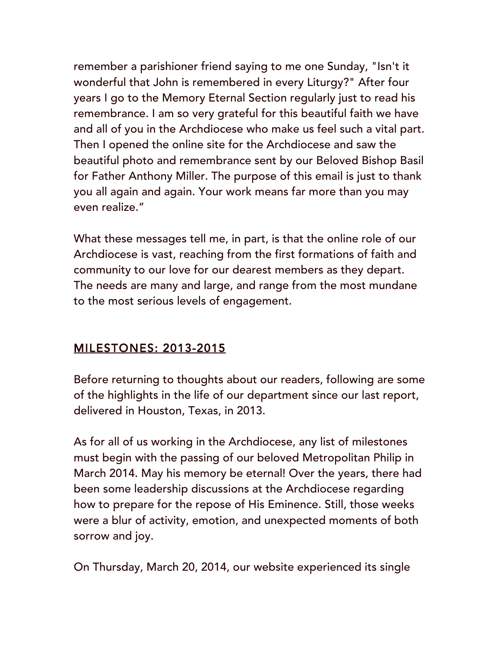remember a parishioner friend saying to me one Sunday, "Isn't it wonderful that John is remembered in every Liturgy?" After four years I go to the Memory Eternal Section regularly just to read his remembrance. I am so very grateful for this beautiful faith we have and all of you in the Archdiocese who make us feel such a vital part. Then I opened the online site for the Archdiocese and saw the beautiful photo and remembrance sent by our Beloved Bishop Basil for Father Anthony Miller. The purpose of this email is just to thank you all again and again. Your work means far more than you may even realize."

What these messages tell me, in part, is that the online role of our Archdiocese is vast, reaching from the first formations of faith and community to our love for our dearest members as they depart. The needs are many and large, and range from the most mundane to the most serious levels of engagement.

## MILESTONES: 2013-2015

Before returning to thoughts about our readers, following are some of the highlights in the life of our department since our last report, delivered in Houston, Texas, in 2013.

As for all of us working in the Archdiocese, any list of milestones must begin with the passing of our beloved Metropolitan Philip in March 2014. May his memory be eternal! Over the years, there had been some leadership discussions at the Archdiocese regarding how to prepare for the repose of His Eminence. Still, those weeks were a blur of activity, emotion, and unexpected moments of both sorrow and joy.

On Thursday, March 20, 2014, our website experienced its single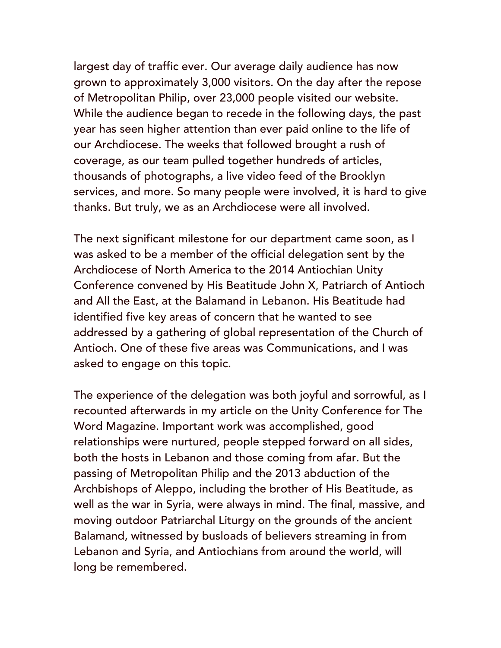largest day of traffic ever. Our average daily audience has now grown to approximately 3,000 visitors. On the day after the repose of Metropolitan Philip, over 23,000 people visited our website. While the audience began to recede in the following days, the past year has seen higher attention than ever paid online to the life of our Archdiocese. The weeks that followed brought a rush of coverage, as our team pulled together hundreds of articles, thousands of photographs, a live video feed of the Brooklyn services, and more. So many people were involved, it is hard to give thanks. But truly, we as an Archdiocese were all involved.

The next significant milestone for our department came soon, as I was asked to be a member of the official delegation sent by the Archdiocese of North America to the 2014 Antiochian Unity Conference convened by His Beatitude John X, Patriarch of Antioch and All the East, at the Balamand in Lebanon. His Beatitude had identified five key areas of concern that he wanted to see addressed by a gathering of global representation of the Church of Antioch. One of these five areas was Communications, and I was asked to engage on this topic.

The experience of the delegation was both joyful and sorrowful, as I recounted afterwards in my article on the Unity Conference for The Word Magazine. Important work was accomplished, good relationships were nurtured, people stepped forward on all sides, both the hosts in Lebanon and those coming from afar. But the passing of Metropolitan Philip and the 2013 abduction of the Archbishops of Aleppo, including the brother of His Beatitude, as well as the war in Syria, were always in mind. The final, massive, and moving outdoor Patriarchal Liturgy on the grounds of the ancient Balamand, witnessed by busloads of believers streaming in from Lebanon and Syria, and Antiochians from around the world, will long be remembered.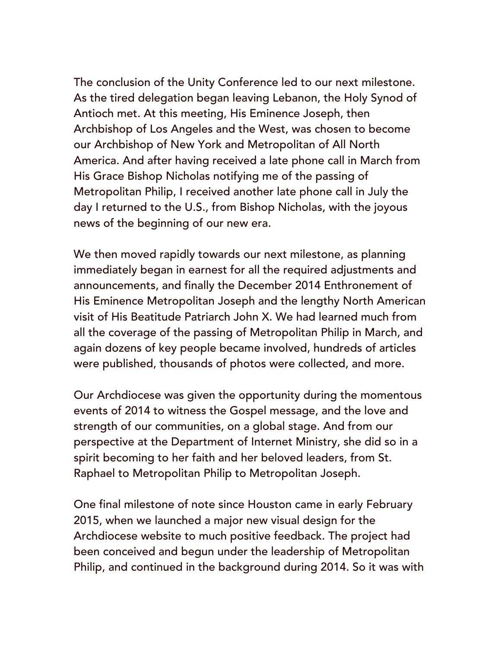The conclusion of the Unity Conference led to our next milestone. As the tired delegation began leaving Lebanon, the Holy Synod of Antioch met. At this meeting, His Eminence Joseph, then Archbishop of Los Angeles and the West, was chosen to become our Archbishop of New York and Metropolitan of All North America. And after having received a late phone call in March from His Grace Bishop Nicholas notifying me of the passing of Metropolitan Philip, I received another late phone call in July the day I returned to the U.S., from Bishop Nicholas, with the joyous news of the beginning of our new era.

We then moved rapidly towards our next milestone, as planning immediately began in earnest for all the required adjustments and announcements, and finally the December 2014 Enthronement of His Eminence Metropolitan Joseph and the lengthy North American visit of His Beatitude Patriarch John X. We had learned much from all the coverage of the passing of Metropolitan Philip in March, and again dozens of key people became involved, hundreds of articles were published, thousands of photos were collected, and more.

Our Archdiocese was given the opportunity during the momentous events of 2014 to witness the Gospel message, and the love and strength of our communities, on a global stage. And from our perspective at the Department of Internet Ministry, she did so in a spirit becoming to her faith and her beloved leaders, from St. Raphael to Metropolitan Philip to Metropolitan Joseph.

One final milestone of note since Houston came in early February 2015, when we launched a major new visual design for the Archdiocese website to much positive feedback. The project had been conceived and begun under the leadership of Metropolitan Philip, and continued in the background during 2014. So it was with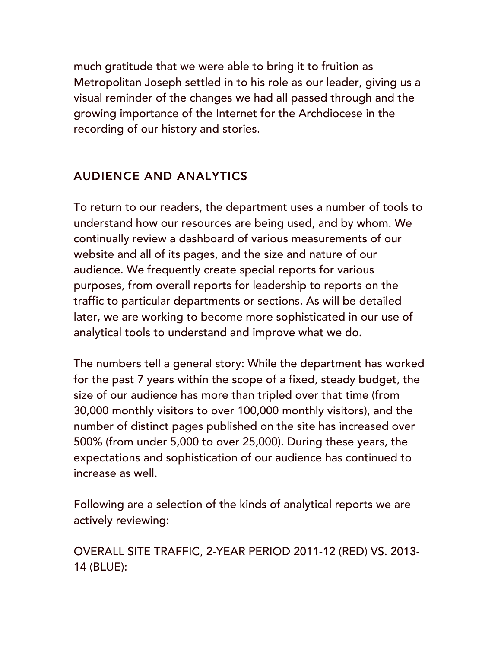much gratitude that we were able to bring it to fruition as Metropolitan Joseph settled in to his role as our leader, giving us a visual reminder of the changes we had all passed through and the growing importance of the Internet for the Archdiocese in the recording of our history and stories.

# AUDIENCE AND ANALYTICS

To return to our readers, the department uses a number of tools to understand how our resources are being used, and by whom. We continually review a dashboard of various measurements of our website and all of its pages, and the size and nature of our audience. We frequently create special reports for various purposes, from overall reports for leadership to reports on the traffic to particular departments or sections. As will be detailed later, we are working to become more sophisticated in our use of analytical tools to understand and improve what we do.

The numbers tell a general story: While the department has worked for the past 7 years within the scope of a fixed, steady budget, the size of our audience has more than tripled over that time (from 30,000 monthly visitors to over 100,000 monthly visitors), and the number of distinct pages published on the site has increased over 500% (from under 5,000 to over 25,000). During these years, the expectations and sophistication of our audience has continued to increase as well.

Following are a selection of the kinds of analytical reports we are actively reviewing:

OVERALL SITE TRAFFIC, 2-YEAR PERIOD 2011-12 (RED) VS. 2013- 14 (BLUE):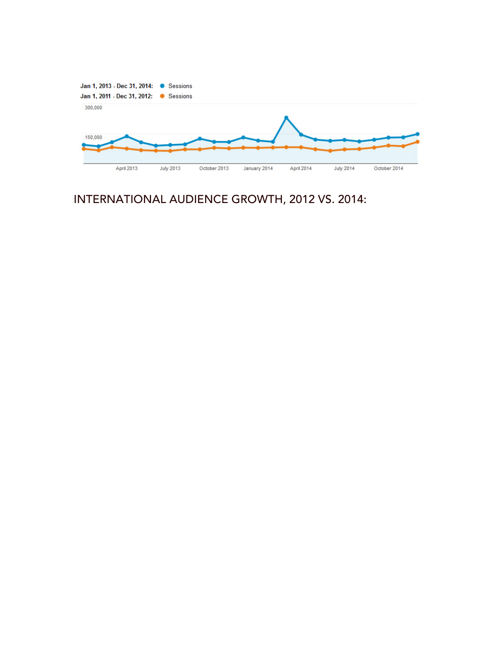

# INTERNATIONAL AUDIENCE GROWTH, 2012 VS. 2014: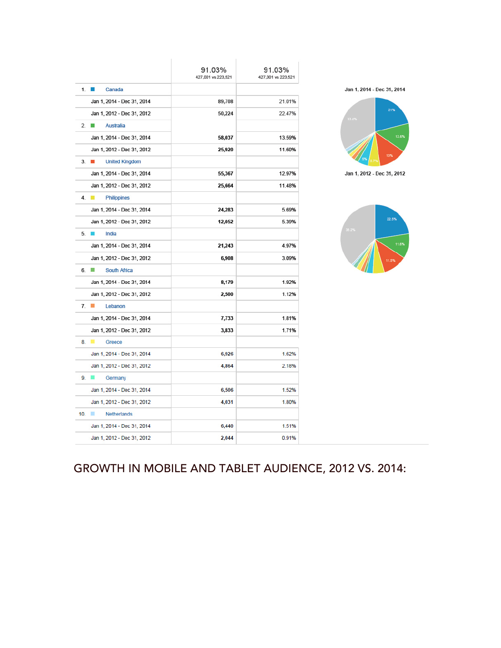|                                               | 91.03%<br>427,001 vs 223,521 | 91.03%<br>427,001 vs 223,521 |  |
|-----------------------------------------------|------------------------------|------------------------------|--|
| 1.<br>Canada                                  |                              |                              |  |
| Jan 1, 2014 - Dec 31, 2014                    | 89,708                       | 21.01%                       |  |
| Jan 1, 2012 - Dec 31, 2012                    | 50,224                       | 22.47%                       |  |
| $2 \Box$<br><b>Australia</b>                  |                              |                              |  |
| Jan 1, 2014 - Dec 31, 2014                    | 58,037                       | 13.59%                       |  |
| Jan 1, 2012 - Dec 31, 2012                    | 25,920                       | 11.60%                       |  |
| $\mathbb{R}^n$<br><b>United Kingdom</b><br>3. |                              |                              |  |
| Jan 1, 2014 - Dec 31, 2014                    | 55,367                       | 12.97%                       |  |
| Jan 1, 2012 - Dec 31, 2012                    | 25,664                       | 11.48%                       |  |
| 4.<br><b>Philippines</b>                      |                              |                              |  |
| Jan 1, 2014 - Dec 31, 2014                    | 24,283                       | 5.69%                        |  |
| Jan 1, 2012 - Dec 31, 2012                    | 12,052                       | 5.39%                        |  |
| India<br>5.<br><b>IN</b>                      |                              |                              |  |
| Jan 1, 2014 - Dec 31, 2014                    | 21,243                       | 4.97%                        |  |
| Jan 1, 2012 - Dec 31, 2012                    | 6,908                        | 3.09%                        |  |
| 6.<br>South Africa                            |                              |                              |  |
| Jan 1, 2014 - Dec 31, 2014                    | 8,179                        | 1.92%                        |  |
| Jan 1, 2012 - Dec 31, 2012                    | 2,500                        | 1.12%                        |  |
| 7.<br>Lebanon                                 |                              |                              |  |
| Jan 1, 2014 - Dec 31, 2014                    | 7,733                        | 1.81%                        |  |
| Jan 1, 2012 - Dec 31, 2012                    | 3,833                        | 1.71%                        |  |
| Greece                                        |                              |                              |  |
| Jan 1, 2014 - Dec 31, 2014                    | 6,926                        | 1.62%                        |  |
| Jan 1, 2012 - Dec 31, 2012                    | 4,864                        | 2.18%                        |  |
| Germany                                       |                              |                              |  |
| Jan 1, 2014 - Dec 31, 2014                    | 6,506                        | 1.52%                        |  |
| Jan 1, 2012 - Dec 31, 2012                    | 4,031                        | 1.80%                        |  |
| 10.<br>ш<br><b>Netherlands</b>                |                              |                              |  |
| Jan 1, 2014 - Dec 31, 2014                    | 6,440                        | 1.51%                        |  |
| Jan 1, 2012 - Dec 31, 2012                    | 2,044                        | 0.91%                        |  |





Jan 1, 2012 - Dec 31, 2012



# GROWTH IN MOBILE AND TABLET AUDIENCE, 2012 VS. 2014: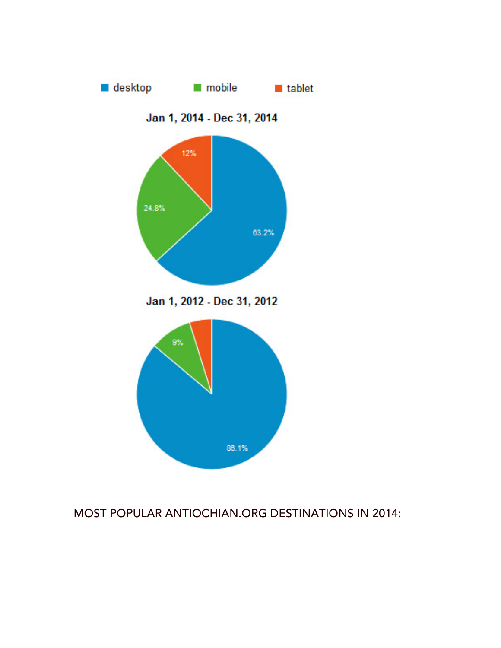

### MOST POPULAR ANTIOCHIAN.ORG DESTINATIONS IN 2014: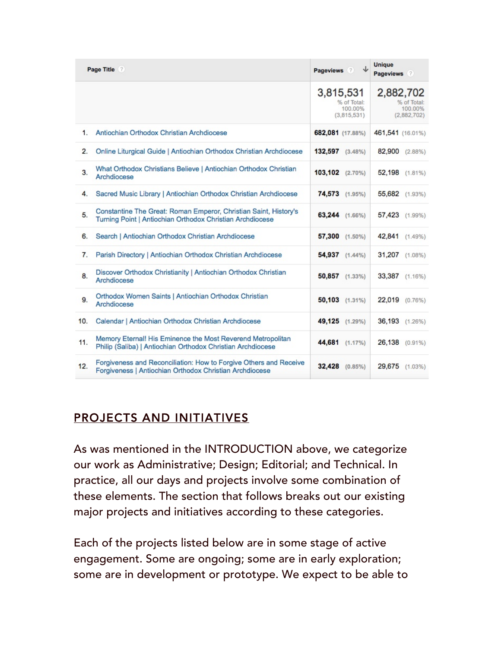| Page Title ? |                                                                                                                               | Pageviews ?                                        | <b>Unique</b><br>Pageviews ?                       |
|--------------|-------------------------------------------------------------------------------------------------------------------------------|----------------------------------------------------|----------------------------------------------------|
|              |                                                                                                                               | 3,815,531<br>% of Total:<br>100.00%<br>(3,815,531) | 2,882,702<br>% of Total:<br>100.00%<br>(2,882,702) |
| 1.           | Antiochian Orthodox Christian Archdiocese                                                                                     | 682,081 (17.88%)                                   | 461,541 (16.01%)                                   |
| 2.           | Online Liturgical Guide   Antiochian Orthodox Christian Archdiocese                                                           | 132,597 (3.48%)                                    | 82,900 (2.88%)                                     |
| 3.           | What Orthodox Christians Believe   Antiochian Orthodox Christian<br>Archdiocese                                               | 103,102 (2.70%)                                    | 52,198 (1.81%)                                     |
| 4.           | Sacred Music Library   Antiochian Orthodox Christian Archdiocese                                                              | 74,573 (1.95%)                                     | 55,682 (1.93%)                                     |
| 5.           | Constantine The Great: Roman Emperor, Christian Saint, History's<br>Turning Point   Antiochian Orthodox Christian Archdiocese | 63,244 (1.66%)                                     | 57,423 (1.99%)                                     |
| 6.           | Search   Antiochian Orthodox Christian Archdiocese                                                                            | 57,300 (1.50%)                                     | 42,841 (1.49%)                                     |
| 7.           | Parish Directory   Antiochian Orthodox Christian Archdiocese                                                                  | 54,937 (1.44%)                                     | 31,207 (1.08%)                                     |
| 8.           | Discover Orthodox Christianity   Antiochian Orthodox Christian<br>Archdiocese                                                 | 50,857 (1.33%)                                     | 33,387 (1.16%)                                     |
| 9.           | Orthodox Women Saints   Antiochian Orthodox Christian<br>Archdiocese                                                          | 50,103 (1.31%)                                     | 22,019 (0.76%)                                     |
| 10.          | Calendar   Antiochian Orthodox Christian Archdiocese                                                                          | 49,125 (1.29%)                                     | 36,193 (1.26%)                                     |
| 11.          | Memory Eternal! His Eminence the Most Reverend Metropolitan<br>Philip (Saliba)   Antiochian Orthodox Christian Archdiocese    | 44,681 (1.17%)                                     | 26,138 (0.91%)                                     |
| 12.          | Forgiveness and Reconciliation: How to Forgive Others and Receive<br>Forgiveness   Antiochian Orthodox Christian Archdiocese  | 32,428 (0.85%)                                     | 29,675<br>$(1.03\%)$                               |

## PROJECTS AND INITIATIVES

As was mentioned in the INTRODUCTION above, we categorize our work as Administrative; Design; Editorial; and Technical. In practice, all our days and projects involve some combination of these elements. The section that follows breaks out our existing major projects and initiatives according to these categories.

Each of the projects listed below are in some stage of active engagement. Some are ongoing; some are in early exploration; some are in development or prototype. We expect to be able to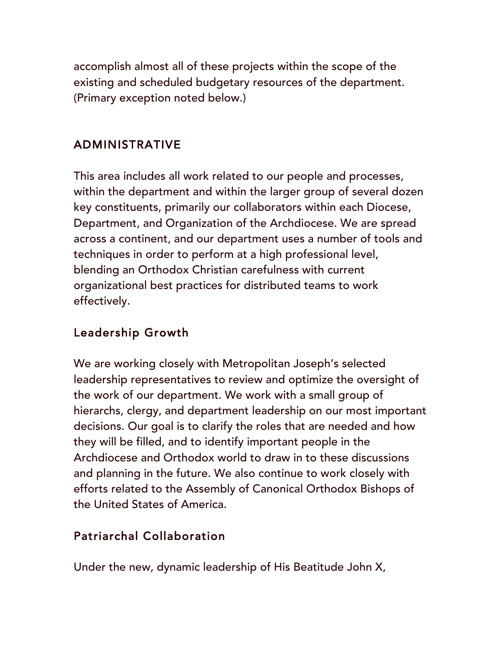accomplish almost all of these projects within the scope of the existing and scheduled budgetary resources of the department. (Primary exception noted below.)

#### ADMINISTRATIVE

This area includes all work related to our people and processes, within the department and within the larger group of several dozen key constituents, primarily our collaborators within each Diocese, Department, and Organization of the Archdiocese. We are spread across a continent, and our department uses a number of tools and techniques in order to perform at a high professional level, blending an Orthodox Christian carefulness with current organizational best practices for distributed teams to work effectively.

#### Leadership Growth

We are working closely with Metropolitan Joseph's selected leadership representatives to review and optimize the oversight of the work of our department. We work with a small group of hierarchs, clergy, and department leadership on our most important decisions. Our goal is to clarify the roles that are needed and how they will be filled, and to identify important people in the Archdiocese and Orthodox world to draw in to these discussions and planning in the future. We also continue to work closely with efforts related to the Assembly of Canonical Orthodox Bishops of the United States of America.

#### Patriarchal Collaboration

Under the new, dynamic leadership of His Beatitude John X,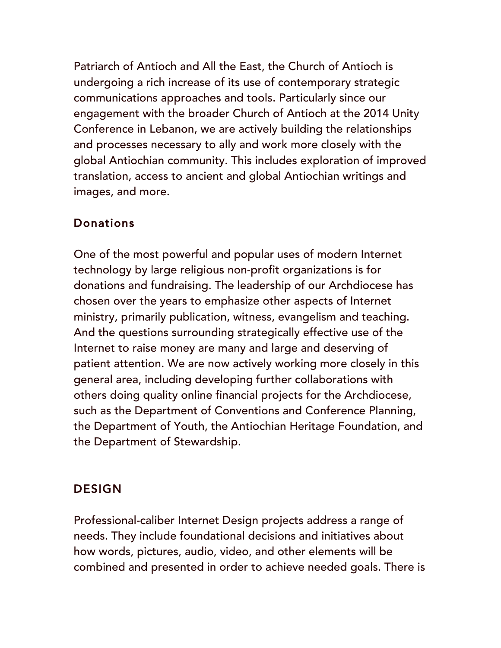Patriarch of Antioch and All the East, the Church of Antioch is undergoing a rich increase of its use of contemporary strategic communications approaches and tools. Particularly since our engagement with the broader Church of Antioch at the 2014 Unity Conference in Lebanon, we are actively building the relationships and processes necessary to ally and work more closely with the global Antiochian community. This includes exploration of improved translation, access to ancient and global Antiochian writings and images, and more.

## Donations

One of the most powerful and popular uses of modern Internet technology by large religious non-profit organizations is for donations and fundraising. The leadership of our Archdiocese has chosen over the years to emphasize other aspects of Internet ministry, primarily publication, witness, evangelism and teaching. And the questions surrounding strategically effective use of the Internet to raise money are many and large and deserving of patient attention. We are now actively working more closely in this general area, including developing further collaborations with others doing quality online financial projects for the Archdiocese, such as the Department of Conventions and Conference Planning, the Department of Youth, the Antiochian Heritage Foundation, and the Department of Stewardship.

# **DESIGN**

Professional-caliber Internet Design projects address a range of needs. They include foundational decisions and initiatives about how words, pictures, audio, video, and other elements will be combined and presented in order to achieve needed goals. There is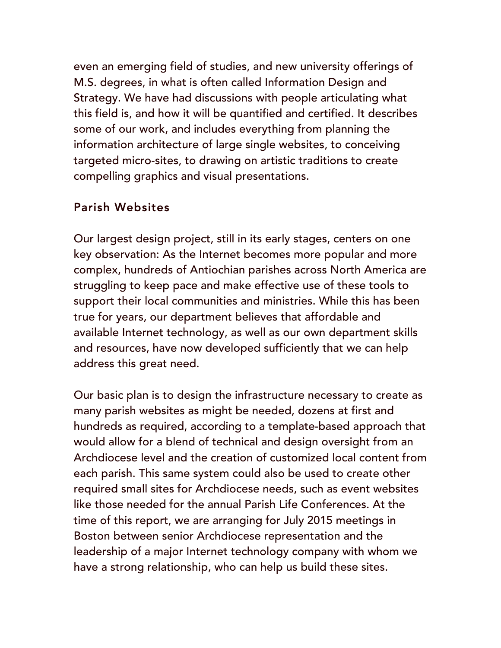even an emerging field of studies, and new university offerings of M.S. degrees, in what is often called Information Design and Strategy. We have had discussions with people articulating what this field is, and how it will be quantified and certified. It describes some of our work, and includes everything from planning the information architecture of large single websites, to conceiving targeted micro-sites, to drawing on artistic traditions to create compelling graphics and visual presentations.

### Parish Websites

Our largest design project, still in its early stages, centers on one key observation: As the Internet becomes more popular and more complex, hundreds of Antiochian parishes across North America are struggling to keep pace and make effective use of these tools to support their local communities and ministries. While this has been true for years, our department believes that affordable and available Internet technology, as well as our own department skills and resources, have now developed sufficiently that we can help address this great need.

Our basic plan is to design the infrastructure necessary to create as many parish websites as might be needed, dozens at first and hundreds as required, according to a template-based approach that would allow for a blend of technical and design oversight from an Archdiocese level and the creation of customized local content from each parish. This same system could also be used to create other required small sites for Archdiocese needs, such as event websites like those needed for the annual Parish Life Conferences. At the time of this report, we are arranging for July 2015 meetings in Boston between senior Archdiocese representation and the leadership of a major Internet technology company with whom we have a strong relationship, who can help us build these sites.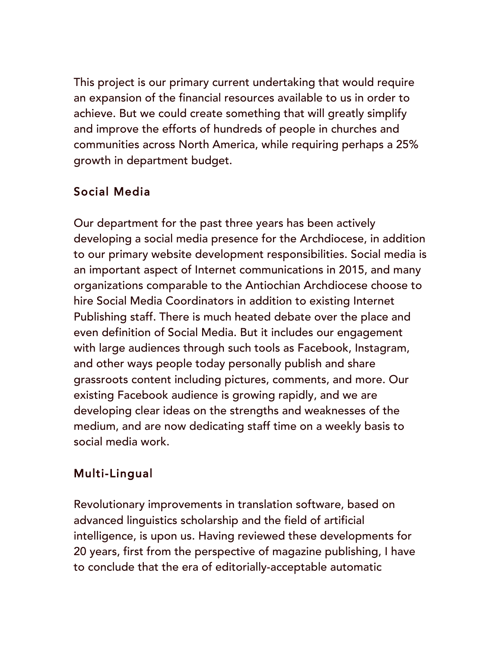This project is our primary current undertaking that would require an expansion of the financial resources available to us in order to achieve. But we could create something that will greatly simplify and improve the efforts of hundreds of people in churches and communities across North America, while requiring perhaps a 25% growth in department budget.

# Social Media

Our department for the past three years has been actively developing a social media presence for the Archdiocese, in addition to our primary website development responsibilities. Social media is an important aspect of Internet communications in 2015, and many organizations comparable to the Antiochian Archdiocese choose to hire Social Media Coordinators in addition to existing Internet Publishing staff. There is much heated debate over the place and even definition of Social Media. But it includes our engagement with large audiences through such tools as Facebook, Instagram, and other ways people today personally publish and share grassroots content including pictures, comments, and more. Our existing Facebook audience is growing rapidly, and we are developing clear ideas on the strengths and weaknesses of the medium, and are now dedicating staff time on a weekly basis to social media work.

# Multi-Lingual

Revolutionary improvements in translation software, based on advanced linguistics scholarship and the field of artificial intelligence, is upon us. Having reviewed these developments for 20 years, first from the perspective of magazine publishing, I have to conclude that the era of editorially-acceptable automatic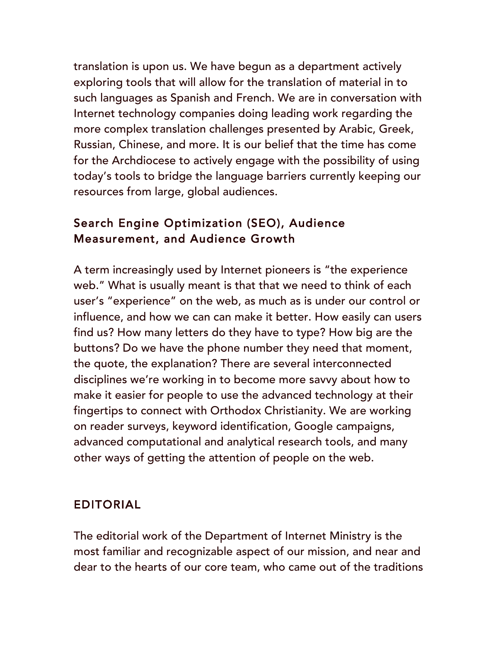translation is upon us. We have begun as a department actively exploring tools that will allow for the translation of material in to such languages as Spanish and French. We are in conversation with Internet technology companies doing leading work regarding the more complex translation challenges presented by Arabic, Greek, Russian, Chinese, and more. It is our belief that the time has come for the Archdiocese to actively engage with the possibility of using today's tools to bridge the language barriers currently keeping our resources from large, global audiences.

## Search Engine Optimization (SEO), Audience Measurement, and Audience Growth

A term increasingly used by Internet pioneers is "the experience web." What is usually meant is that that we need to think of each user's "experience" on the web, as much as is under our control or influence, and how we can can make it better. How easily can users find us? How many letters do they have to type? How big are the buttons? Do we have the phone number they need that moment, the quote, the explanation? There are several interconnected disciplines we're working in to become more savvy about how to make it easier for people to use the advanced technology at their fingertips to connect with Orthodox Christianity. We are working on reader surveys, keyword identification, Google campaigns, advanced computational and analytical research tools, and many other ways of getting the attention of people on the web.

### EDITORIAL

The editorial work of the Department of Internet Ministry is the most familiar and recognizable aspect of our mission, and near and dear to the hearts of our core team, who came out of the traditions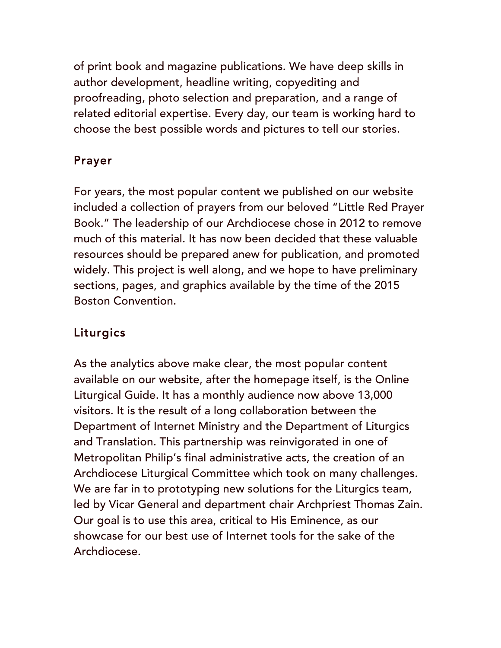of print book and magazine publications. We have deep skills in author development, headline writing, copyediting and proofreading, photo selection and preparation, and a range of related editorial expertise. Every day, our team is working hard to choose the best possible words and pictures to tell our stories.

# Prayer

For years, the most popular content we published on our website included a collection of prayers from our beloved "Little Red Prayer Book." The leadership of our Archdiocese chose in 2012 to remove much of this material. It has now been decided that these valuable resources should be prepared anew for publication, and promoted widely. This project is well along, and we hope to have preliminary sections, pages, and graphics available by the time of the 2015 Boston Convention.

# Liturgics

As the analytics above make clear, the most popular content available on our website, after the homepage itself, is the Online Liturgical Guide. It has a monthly audience now above 13,000 visitors. It is the result of a long collaboration between the Department of Internet Ministry and the Department of Liturgics and Translation. This partnership was reinvigorated in one of Metropolitan Philip's final administrative acts, the creation of an Archdiocese Liturgical Committee which took on many challenges. We are far in to prototyping new solutions for the Liturgics team, led by Vicar General and department chair Archpriest Thomas Zain. Our goal is to use this area, critical to His Eminence, as our showcase for our best use of Internet tools for the sake of the Archdiocese.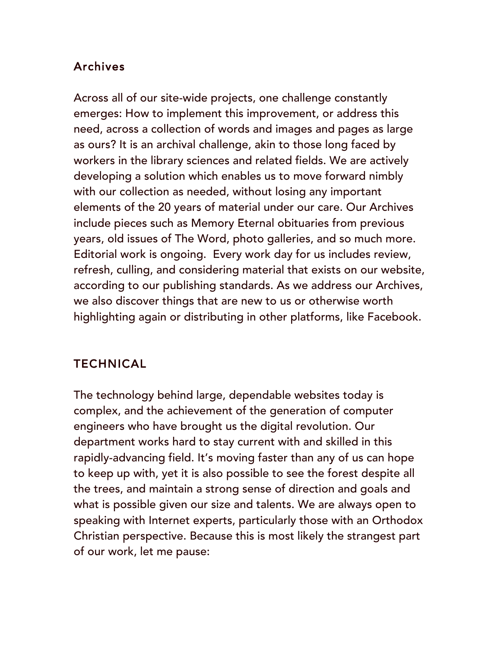## Archives

Across all of our site-wide projects, one challenge constantly emerges: How to implement this improvement, or address this need, across a collection of words and images and pages as large as ours? It is an archival challenge, akin to those long faced by workers in the library sciences and related fields. We are actively developing a solution which enables us to move forward nimbly with our collection as needed, without losing any important elements of the 20 years of material under our care. Our Archives include pieces such as Memory Eternal obituaries from previous years, old issues of The Word, photo galleries, and so much more. Editorial work is ongoing. Every work day for us includes review, refresh, culling, and considering material that exists on our website, according to our publishing standards. As we address our Archives, we also discover things that are new to us or otherwise worth highlighting again or distributing in other platforms, like Facebook.

## TECHNICAL

The technology behind large, dependable websites today is complex, and the achievement of the generation of computer engineers who have brought us the digital revolution. Our department works hard to stay current with and skilled in this rapidly-advancing field. It's moving faster than any of us can hope to keep up with, yet it is also possible to see the forest despite all the trees, and maintain a strong sense of direction and goals and what is possible given our size and talents. We are always open to speaking with Internet experts, particularly those with an Orthodox Christian perspective. Because this is most likely the strangest part of our work, let me pause: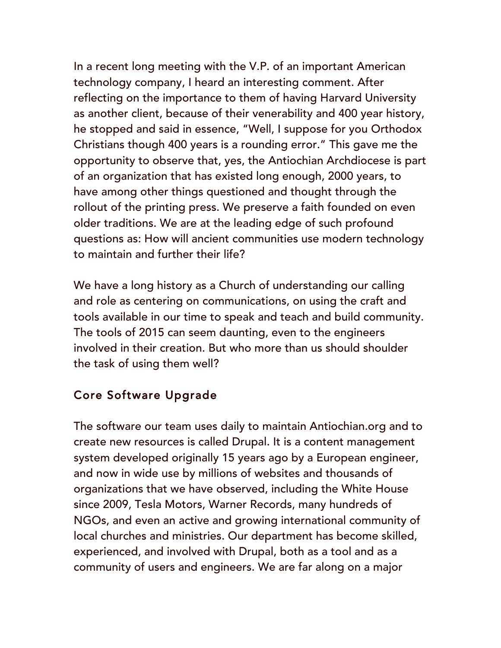In a recent long meeting with the V.P. of an important American technology company, I heard an interesting comment. After reflecting on the importance to them of having Harvard University as another client, because of their venerability and 400 year history, he stopped and said in essence, "Well, I suppose for you Orthodox Christians though 400 years is a rounding error." This gave me the opportunity to observe that, yes, the Antiochian Archdiocese is part of an organization that has existed long enough, 2000 years, to have among other things questioned and thought through the rollout of the printing press. We preserve a faith founded on even older traditions. We are at the leading edge of such profound questions as: How will ancient communities use modern technology to maintain and further their life?

We have a long history as a Church of understanding our calling and role as centering on communications, on using the craft and tools available in our time to speak and teach and build community. The tools of 2015 can seem daunting, even to the engineers involved in their creation. But who more than us should shoulder the task of using them well?

## Core Software Upgrade

The software our team uses daily to maintain Antiochian.org and to create new resources is called Drupal. It is a content management system developed originally 15 years ago by a European engineer, and now in wide use by millions of websites and thousands of organizations that we have observed, including the White House since 2009, Tesla Motors, Warner Records, many hundreds of NGOs, and even an active and growing international community of local churches and ministries. Our department has become skilled, experienced, and involved with Drupal, both as a tool and as a community of users and engineers. We are far along on a major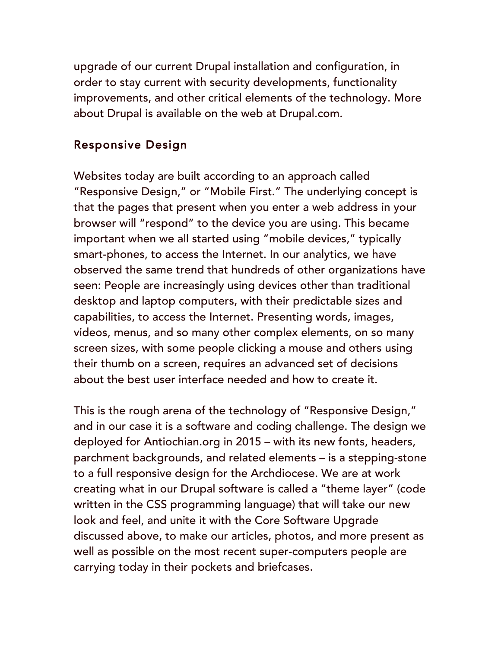upgrade of our current Drupal installation and configuration, in order to stay current with security developments, functionality improvements, and other critical elements of the technology. More about Drupal is available on the web at Drupal.com.

### Responsive Design

Websites today are built according to an approach called "Responsive Design," or "Mobile First." The underlying concept is that the pages that present when you enter a web address in your browser will "respond" to the device you are using. This became important when we all started using "mobile devices," typically smart-phones, to access the Internet. In our analytics, we have observed the same trend that hundreds of other organizations have seen: People are increasingly using devices other than traditional desktop and laptop computers, with their predictable sizes and capabilities, to access the Internet. Presenting words, images, videos, menus, and so many other complex elements, on so many screen sizes, with some people clicking a mouse and others using their thumb on a screen, requires an advanced set of decisions about the best user interface needed and how to create it.

This is the rough arena of the technology of "Responsive Design," and in our case it is a software and coding challenge. The design we deployed for Antiochian.org in 2015 – with its new fonts, headers, parchment backgrounds, and related elements – is a stepping-stone to a full responsive design for the Archdiocese. We are at work creating what in our Drupal software is called a "theme layer" (code written in the CSS programming language) that will take our new look and feel, and unite it with the Core Software Upgrade discussed above, to make our articles, photos, and more present as well as possible on the most recent super-computers people are carrying today in their pockets and briefcases.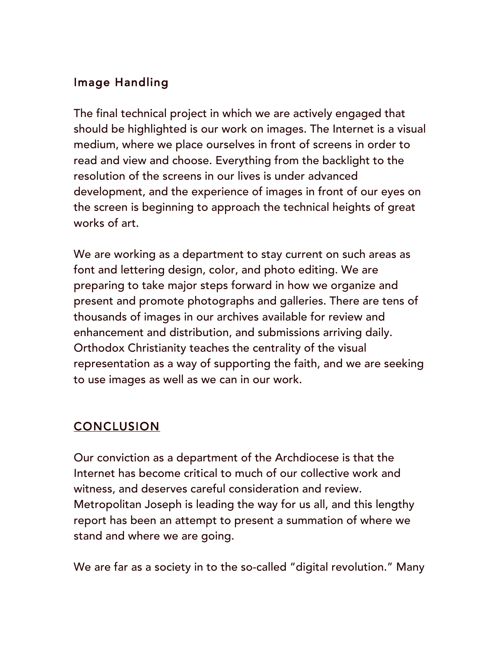## Image Handling

The final technical project in which we are actively engaged that should be highlighted is our work on images. The Internet is a visual medium, where we place ourselves in front of screens in order to read and view and choose. Everything from the backlight to the resolution of the screens in our lives is under advanced development, and the experience of images in front of our eyes on the screen is beginning to approach the technical heights of great works of art.

We are working as a department to stay current on such areas as font and lettering design, color, and photo editing. We are preparing to take major steps forward in how we organize and present and promote photographs and galleries. There are tens of thousands of images in our archives available for review and enhancement and distribution, and submissions arriving daily. Orthodox Christianity teaches the centrality of the visual representation as a way of supporting the faith, and we are seeking to use images as well as we can in our work.

# **CONCLUSION**

Our conviction as a department of the Archdiocese is that the Internet has become critical to much of our collective work and witness, and deserves careful consideration and review. Metropolitan Joseph is leading the way for us all, and this lengthy report has been an attempt to present a summation of where we stand and where we are going.

We are far as a society in to the so-called "digital revolution." Many